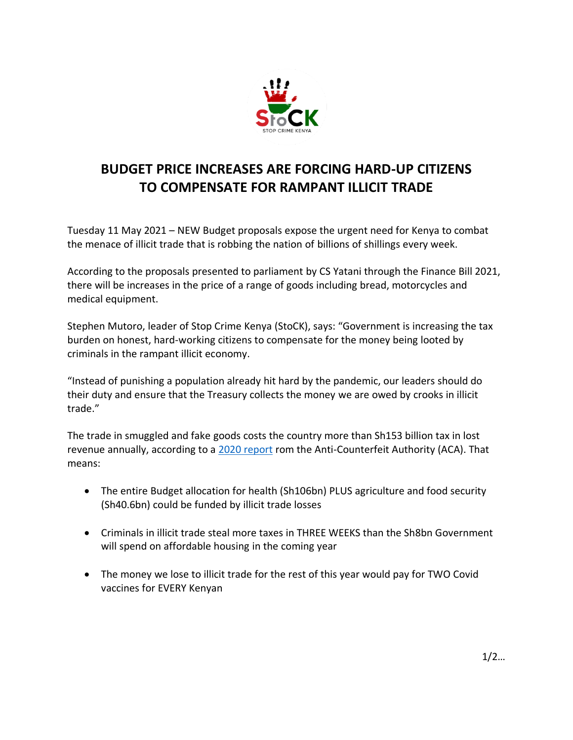

## **BUDGET PRICE INCREASES ARE FORCING HARD-UP CITIZENS TO COMPENSATE FOR RAMPANT ILLICIT TRADE**

Tuesday 11 May 2021 – NEW Budget proposals expose the urgent need for Kenya to combat the menace of illicit trade that is robbing the nation of billions of shillings every week.

According to the proposals presented to parliament by CS Yatani through the Finance Bill 2021, there will be increases in the price of a range of goods including bread, motorcycles and medical equipment.

Stephen Mutoro, leader of Stop Crime Kenya (StoCK), says: "Government is increasing the tax burden on honest, hard-working citizens to compensate for the money being looted by criminals in the rampant illicit economy.

"Instead of punishing a population already hit hard by the pandemic, our leaders should do their duty and ensure that the Treasury collects the money we are owed by crooks in illicit trade."

The trade in smuggled and fake goods costs the country more than Sh153 billion tax in lost revenue annually, according to a [2020 report](https://www.aca.go.ke/images/2020/National_Baseline_Survey_Counterfeit_and_Illicit_Trade_In_Kenya.pdf) rom the Anti-Counterfeit Authority (ACA). That means:

- The entire Budget allocation for health (Sh106bn) PLUS agriculture and food security (Sh40.6bn) could be funded by illicit trade losses
- Criminals in illicit trade steal more taxes in THREE WEEKS than the Sh8bn Government will spend on affordable housing in the coming year
- The money we lose to illicit trade for the rest of this year would pay for TWO Covid vaccines for EVERY Kenyan